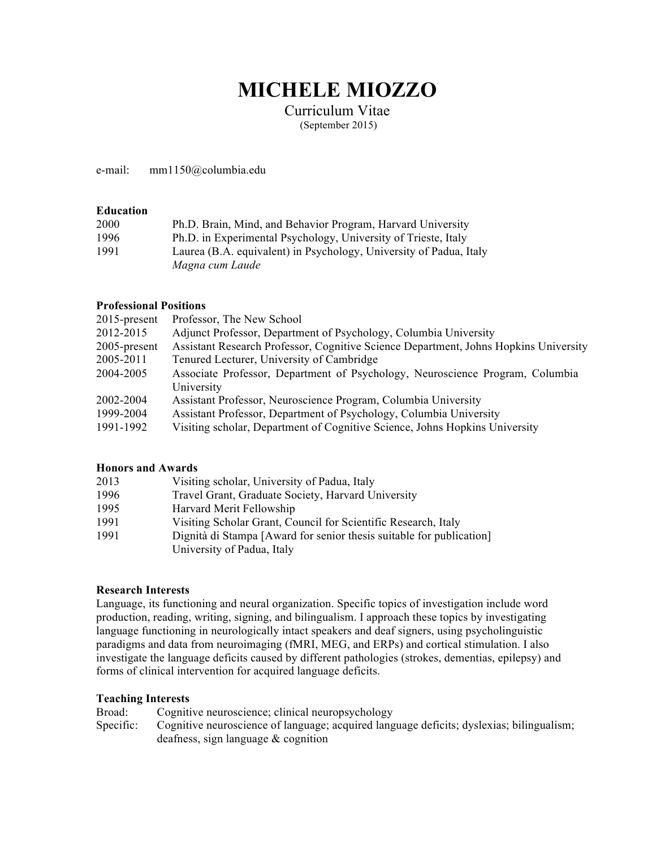# **MICHELE MIOZZO**

Curriculum Vitae (September 2015)

e-mail: mm1150@columbia.edu

## **Education**

| 2000 | Ph.D. Brain, Mind, and Behavior Program, Harvard University        |
|------|--------------------------------------------------------------------|
| 1996 | Ph.D. in Experimental Psychology, University of Trieste, Italy     |
| 1991 | Laurea (B.A. equivalent) in Psychology, University of Padua, Italy |
|      | Magna cum Laude                                                    |

## **Professional Positions**

| $2015$ -present | Professor, The New School                                                            |
|-----------------|--------------------------------------------------------------------------------------|
| 2012-2015       | Adjunct Professor, Department of Psychology, Columbia University                     |
| 2005-present    | Assistant Research Professor, Cognitive Science Department, Johns Hopkins University |
| 2005-2011       | Tenured Lecturer, University of Cambridge                                            |
| 2004-2005       | Associate Professor, Department of Psychology, Neuroscience Program, Columbia        |
|                 | University                                                                           |
| 2002-2004       | Assistant Professor, Neuroscience Program, Columbia University                       |
| 1999-2004       | Assistant Professor, Department of Psychology, Columbia University                   |
| 1991-1992       | Visiting scholar, Department of Cognitive Science, Johns Hopkins University          |
|                 |                                                                                      |

# **Honors and Awards**

| 2013 | Visiting scholar, University of Padua, Italy                                                       |
|------|----------------------------------------------------------------------------------------------------|
| 1996 | Travel Grant, Graduate Society, Harvard University                                                 |
| 1995 | Harvard Merit Fellowship                                                                           |
| 1991 | Visiting Scholar Grant, Council for Scientific Research, Italy                                     |
| 1991 | Dignità di Stampa [Award for senior thesis suitable for publication]<br>University of Padua, Italy |

# **Research Interests**

Language, its functioning and neural organization. Specific topics of investigation include word production, reading, writing, signing, and bilingualism. I approach these topics by investigating language functioning in neurologically intact speakers and deaf signers, using psycholinguistic paradigms and data from neuroimaging (fMRI, MEG, and ERPs) and cortical stimulation. I also investigate the language deficits caused by different pathologies (strokes, dementias, epilepsy) and forms of clinical intervention for acquired language deficits.

## **Teaching Interests**

| Broad:    | Cognitive neuroscience; clinical neuropsychology                                         |
|-----------|------------------------------------------------------------------------------------------|
| Specific: | Cognitive neuroscience of language; acquired language deficits; dyslexias; bilingualism; |
|           | deafness, sign language $\&$ cognition                                                   |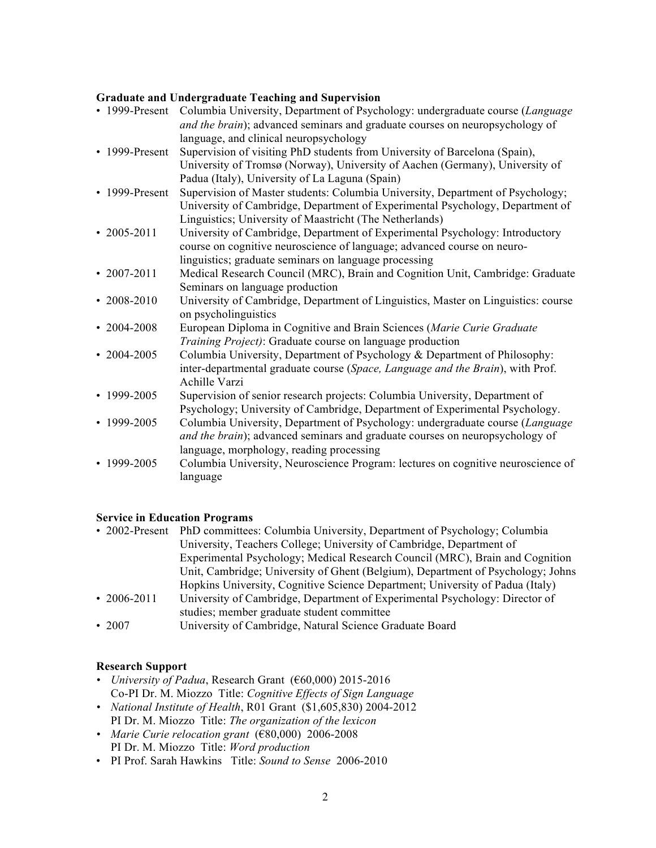# **Graduate and Undergraduate Teaching and Supervision**

| Columbia University, Department of Psychology: undergraduate course (Language<br>and the brain); advanced seminars and graduate courses on neuropsychology of<br>language, and clinical neuropsychology                    |
|----------------------------------------------------------------------------------------------------------------------------------------------------------------------------------------------------------------------------|
| Supervision of visiting PhD students from University of Barcelona (Spain),<br>University of Tromsø (Norway), University of Aachen (Germany), University of<br>Padua (Italy), University of La Laguna (Spain)               |
| Supervision of Master students: Columbia University, Department of Psychology;<br>University of Cambridge, Department of Experimental Psychology, Department of<br>Linguistics; University of Maastricht (The Netherlands) |
| University of Cambridge, Department of Experimental Psychology: Introductory<br>course on cognitive neuroscience of language; advanced course on neuro-<br>linguistics; graduate seminars on language processing           |
| Medical Research Council (MRC), Brain and Cognition Unit, Cambridge: Graduate<br>Seminars on language production                                                                                                           |
| University of Cambridge, Department of Linguistics, Master on Linguistics: course<br>on psycholinguistics                                                                                                                  |
| European Diploma in Cognitive and Brain Sciences (Marie Curie Graduate<br>Training Project): Graduate course on language production                                                                                        |
| Columbia University, Department of Psychology & Department of Philosophy:<br>inter-departmental graduate course (Space, Language and the Brain), with Prof.<br>Achille Varzi                                               |
| Supervision of senior research projects: Columbia University, Department of<br>Psychology; University of Cambridge, Department of Experimental Psychology.                                                                 |
| Columbia University, Department of Psychology: undergraduate course (Language<br>and the brain); advanced seminars and graduate courses on neuropsychology of<br>language, morphology, reading processing                  |
| Columbia University, Neuroscience Program: lectures on cognitive neuroscience of<br>language                                                                                                                               |
|                                                                                                                                                                                                                            |

# **Service in Education Programs**

| • 2002-Present    | PhD committees: Columbia University, Department of Psychology; Columbia         |
|-------------------|---------------------------------------------------------------------------------|
|                   | University, Teachers College; University of Cambridge, Department of            |
|                   | Experimental Psychology; Medical Research Council (MRC), Brain and Cognition    |
|                   | Unit, Cambridge; University of Ghent (Belgium), Department of Psychology; Johns |
|                   | Hopkins University, Cognitive Science Department; University of Padua (Italy)   |
| $\cdot$ 2006-2011 | University of Cambridge, Department of Experimental Psychology: Director of     |
|                   | studies; member graduate student committee                                      |
| .2007             | University of Cambridge, Natural Science Graduate Roard                         |

• 2007 University of Cambridge, Natural Science Graduate Board

# **Research Support**

- *• University of Padua*, Research Grant (€60,000) 2015-2016 Co-PI Dr. M. Miozzo Title: *Cognitive Effects of Sign Language*
- *• National Institute of Health*, R01 Grant (\$1,605,830) 2004-2012 PI Dr. M. Miozzo Title: *The organization of the lexicon*
- *• Marie Curie relocation grant* (€80,000) 2006-2008 PI Dr. M. Miozzo Title: *Word production*
- PI Prof. Sarah Hawkins Title: *Sound to Sense* 2006-2010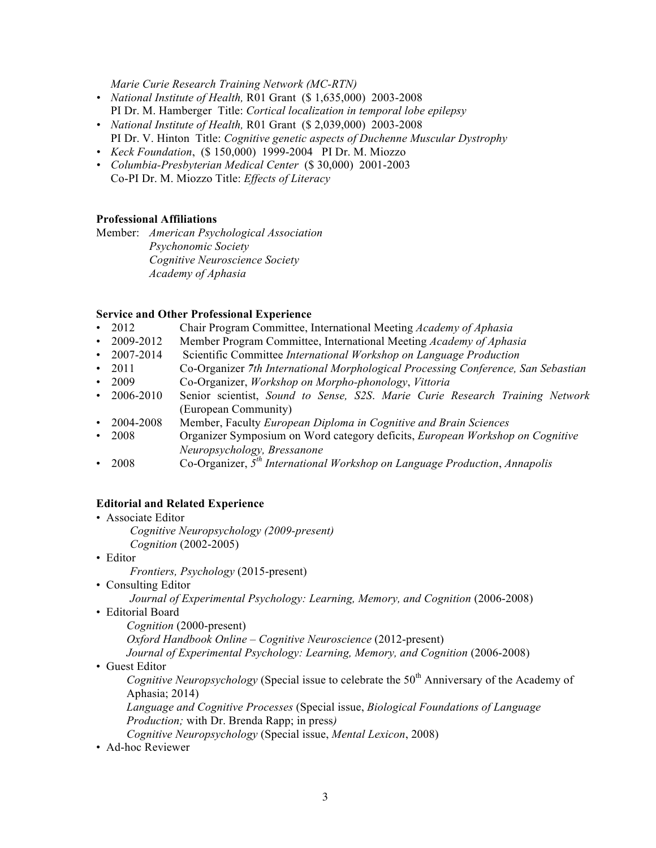*Marie Curie Research Training Network (MC-RTN)*

- *• National Institute of Health,* R01 Grant (\$ 1,635,000) 2003-2008 PI Dr. M. Hamberger Title: *Cortical localization in temporal lobe epilepsy*
- *• National Institute of Health,* R01 Grant (\$ 2,039,000) 2003-2008 PI Dr. V. Hinton Title: *Cognitive genetic aspects of Duchenne Muscular Dystrophy*
- *• Keck Foundation*, (\$ 150,000) 1999-2004 PI Dr. M. Miozzo
- *• Columbia-Presbyterian Medical Center* (\$ 30,000) 2001-2003 Co-PI Dr. M. Miozzo Title: *Effects of Literacy*

# **Professional Affiliations**

Member: *American Psychological Association Psychonomic Society Cognitive Neuroscience Society Academy of Aphasia*

# **Service and Other Professional Experience**

- 2012 Chair Program Committee, International Meeting *Academy of Aphasia*
- 2009-2012 Member Program Committee, International Meeting *Academy of Aphasia*
- 2007-2014 Scientific Committee *International Workshop on Language Production*
- 2011 Co-Organizer *7th International Morphological Processing Conference, San Sebastian*
- 2009 Co-Organizer, *Workshop on Morpho-phonology*, *Vittoria*
- 2006-2010 Senior scientist, *Sound to Sense, S2S*. *Marie Curie Research Training Network* (European Community)
- 2004-2008 Member, Faculty *European Diploma in Cognitive and Brain Sciences*
- 2008 Organizer Symposium on Word category deficits, *European Workshop on Cognitive Neuropsychology, Bressanone*
- 2008 Co-Organizer, *5th International Workshop on Language Production*, *Annapolis*

# **Editorial and Related Experience**

- Associate Editor *Cognitive Neuropsychology (2009-present) Cognition* (2002-2005)
- Editor

*Frontiers, Psychology* (2015-present)

• Consulting Editor

*Journal of Experimental Psychology: Learning, Memory, and Cognition* (2006-2008)

• Editorial Board

*Cognition* (2000-present)

*Oxford Handbook Online – Cognitive Neuroscience* (2012-present)

*Journal of Experimental Psychology: Learning, Memory, and Cognition* (2006-2008)

• Guest Editor

*Cognitive Neuropsychology* (Special issue to celebrate the 50<sup>th</sup> Anniversary of the Academy of Aphasia; 2014)

*Language and Cognitive Processes* (Special issue, *Biological Foundations of Language Production;* with Dr. Brenda Rapp; in press*)*

- *Cognitive Neuropsychology* (Special issue, *Mental Lexicon*, 2008)
- Ad-hoc Reviewer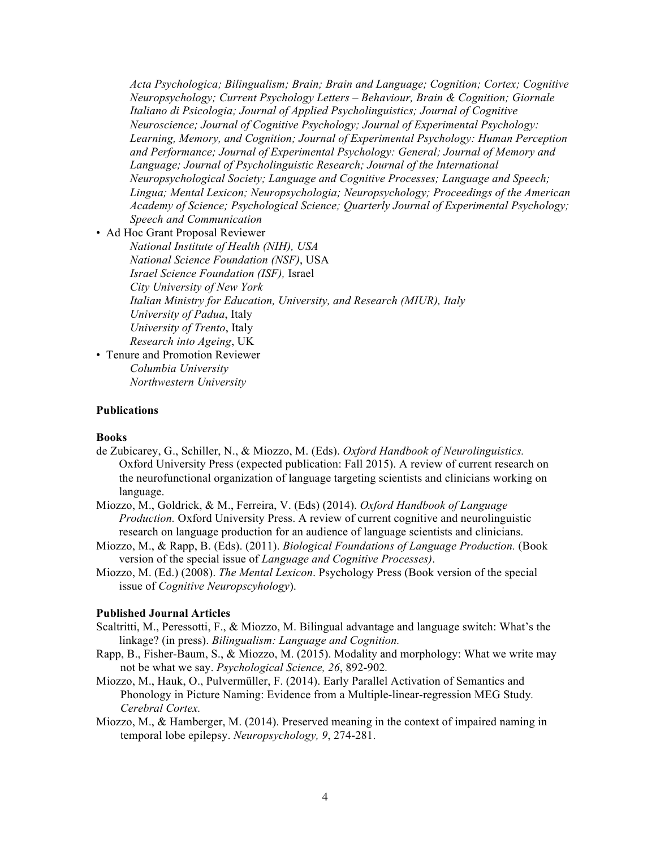*Acta Psychologica; Bilingualism; Brain; Brain and Language; Cognition; Cortex; Cognitive Neuropsychology; Current Psychology Letters – Behaviour, Brain & Cognition; Giornale Italiano di Psicologia; Journal of Applied Psycholinguistics; Journal of Cognitive Neuroscience; Journal of Cognitive Psychology; Journal of Experimental Psychology: Learning, Memory, and Cognition; Journal of Experimental Psychology: Human Perception and Performance; Journal of Experimental Psychology: General; Journal of Memory and Language; Journal of Psycholinguistic Research; Journal of the International Neuropsychological Society; Language and Cognitive Processes; Language and Speech; Lingua; Mental Lexicon; Neuropsychologia; Neuropsychology; Proceedings of the American Academy of Science; Psychological Science; Quarterly Journal of Experimental Psychology; Speech and Communication*

• Ad Hoc Grant Proposal Reviewer

*National Institute of Health (NIH), USA National Science Foundation (NSF)*, USA *Israel Science Foundation (ISF),* Israel *City University of New York Italian Ministry for Education, University, and Research (MIUR), Italy University of Padua*, Italy *University of Trento*, Italy *Research into Ageing*, UK

• Tenure and Promotion Reviewer *Columbia University Northwestern University*

## **Publications**

## **Books**

- de Zubicarey, G., Schiller, N., & Miozzo, M. (Eds). *Oxford Handbook of Neurolinguistics.*  Oxford University Press (expected publication: Fall 2015). A review of current research on the neurofunctional organization of language targeting scientists and clinicians working on language.
- Miozzo, M., Goldrick, & M., Ferreira, V. (Eds) (2014). *Oxford Handbook of Language Production.* Oxford University Press. A review of current cognitive and neurolinguistic research on language production for an audience of language scientists and clinicians.
- Miozzo, M., & Rapp, B. (Eds). (2011). *Biological Foundations of Language Production.* (Book version of the special issue of *Language and Cognitive Processes)*.
- Miozzo, M. (Ed.) (2008). *The Mental Lexicon*. Psychology Press (Book version of the special issue of *Cognitive Neuropscyhology*).

## **Published Journal Articles**

- Scaltritti, M., Peressotti, F., & Miozzo, M. Bilingual advantage and language switch: What's the linkage? (in press). *Bilingualism: Language and Cognition.*
- Rapp, B., Fisher-Baum, S., & Miozzo, M. (2015). Modality and morphology: What we write may not be what we say. *Psychological Science, 26*, 892-902*.*
- Miozzo, M., Hauk, O., Pulvermüller, F. (2014). Early Parallel Activation of Semantics and Phonology in Picture Naming: Evidence from a Multiple-linear-regression MEG Study*. Cerebral Cortex.*
- Miozzo, M., & Hamberger, M. (2014). Preserved meaning in the context of impaired naming in temporal lobe epilepsy. *Neuropsychology, 9*, 274-281.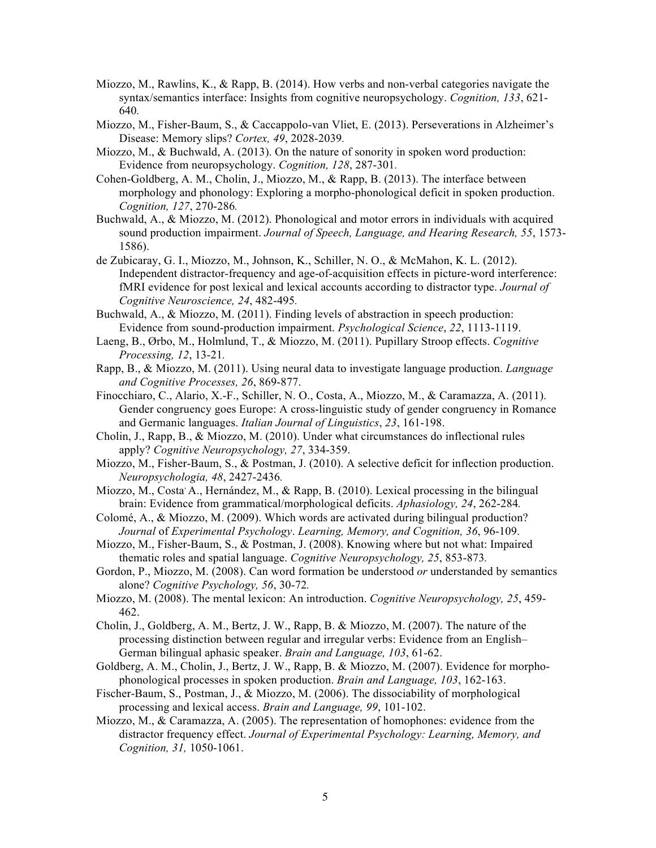- Miozzo, M., Rawlins, K., & Rapp, B. (2014). How verbs and non-verbal categories navigate the syntax/semantics interface: Insights from cognitive neuropsychology. *Cognition, 133*, 621- 640*.*
- Miozzo, M., Fisher-Baum, S., & Caccappolo-van Vliet, E. (2013). Perseverations in Alzheimer's Disease: Memory slips? *Cortex, 49*, 2028-2039*.*
- Miozzo, M.,  $\&$  Buchwald, A. (2013). On the nature of sonority in spoken word production: Evidence from neuropsychology. *Cognition, 128*, 287-301*.*
- Cohen-Goldberg, A. M., Cholin, J., Miozzo, M., & Rapp, B. (2013). The interface between morphology and phonology: Exploring a morpho-phonological deficit in spoken production. *Cognition, 127*, 270-286*.*
- Buchwald, A., & Miozzo, M. (2012). Phonological and motor errors in individuals with acquired sound production impairment. *Journal of Speech, Language, and Hearing Research, 55*, 1573- 1586).
- de Zubicaray, G. I., Miozzo, M., Johnson, K., Schiller, N. O., & McMahon, K. L. (2012). Independent distractor-frequency and age-of-acquisition effects in picture-word interference: fMRI evidence for post lexical and lexical accounts according to distractor type. *Journal of Cognitive Neuroscience, 24*, 482-495*.*
- Buchwald, A., & Miozzo, M. (2011). Finding levels of abstraction in speech production: Evidence from sound-production impairment. *Psychological Science*, *22*, 1113-1119.
- Laeng, B., Ørbo, M., Holmlund, T., & Miozzo, M. (2011). Pupillary Stroop effects. *Cognitive Processing, 12*, 13-21*.*
- Rapp, B., & Miozzo, M. (2011). Using neural data to investigate language production. *Language and Cognitive Processes, 26*, 869-877.
- Finocchiaro, C., Alario, X.-F., Schiller, N. O., Costa, A., Miozzo, M., & Caramazza, A. (2011). Gender congruency goes Europe: A cross-linguistic study of gender congruency in Romance and Germanic languages. *Italian Journal of Linguistics*, *23*, 161-198.
- Cholin, J., Rapp, B., & Miozzo, M. (2010). Under what circumstances do inflectional rules apply? *Cognitive Neuropsychology, 27*, 334-359.
- Miozzo, M., Fisher-Baum, S., & Postman, J. (2010). A selective deficit for inflection production. *Neuropsychologia, 48*, 2427-2436*.*
- Miozzo, M., Costa A., Hernández, M.,  $\&$  Rapp, B. (2010). Lexical processing in the bilingual brain: Evidence from grammatical/morphological deficits. *Aphasiology, 24*, 262-284*.*
- Colomé, A., & Miozzo, M. (2009). Which words are activated during bilingual production? *Journal* of *Experimental Psychology*. *Learning, Memory, and Cognition, 36*, 96-109.
- Miozzo, M., Fisher-Baum, S., & Postman, J. (2008). Knowing where but not what: Impaired thematic roles and spatial language. *Cognitive Neuropsychology, 25*, 853-873*.*
- Gordon, P., Miozzo, M. (2008). Can word formation be understood *or* understanded by semantics alone? *Cognitive Psychology, 56*, 30-72*.*
- Miozzo, M. (2008). The mental lexicon: An introduction. *Cognitive Neuropsychology, 25*, 459- 462.
- Cholin, J., Goldberg, A. M., Bertz, J. W., Rapp, B. & Miozzo, M. (2007). The nature of the processing distinction between regular and irregular verbs: Evidence from an English– German bilingual aphasic speaker. *Brain and Language, 103*, 61-62.
- Goldberg, A. M., Cholin, J., Bertz, J. W., Rapp, B. & Miozzo, M. (2007). Evidence for morphophonological processes in spoken production. *Brain and Language, 103*, 162-163.
- Fischer-Baum, S., Postman, J., & Miozzo, M. (2006). The dissociability of morphological processing and lexical access. *Brain and Language, 99*, 101-102.
- Miozzo, M., & Caramazza, A. (2005). The representation of homophones: evidence from the distractor frequency effect. *Journal of Experimental Psychology: Learning, Memory, and Cognition, 31,* 1050-1061.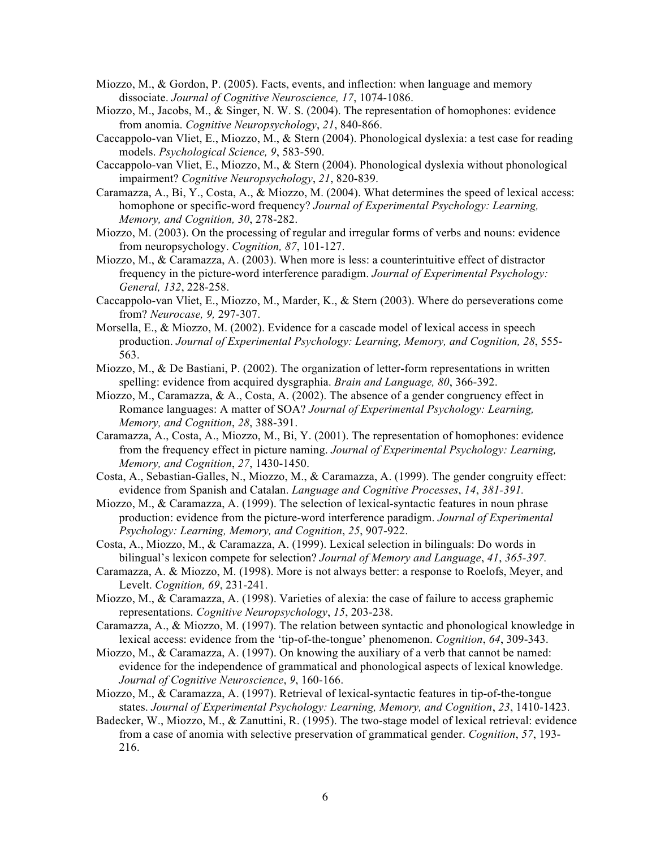- Miozzo, M., & Gordon, P. (2005). Facts, events, and inflection: when language and memory dissociate. *Journal of Cognitive Neuroscience, 17*, 1074-1086.
- Miozzo, M., Jacobs, M., & Singer, N. W. S. (2004). The representation of homophones: evidence from anomia. *Cognitive Neuropsychology*, *21*, 840-866.
- Caccappolo-van Vliet, E., Miozzo, M., & Stern (2004). Phonological dyslexia: a test case for reading models. *Psychological Science, 9*, 583-590.
- Caccappolo-van Vliet, E., Miozzo, M., & Stern (2004). Phonological dyslexia without phonological impairment? *Cognitive Neuropsychology*, *21*, 820-839.
- Caramazza, A., Bi, Y., Costa, A., & Miozzo, M. (2004). What determines the speed of lexical access: homophone or specific-word frequency? *Journal of Experimental Psychology: Learning, Memory, and Cognition, 30*, 278-282.
- Miozzo, M. (2003). On the processing of regular and irregular forms of verbs and nouns: evidence from neuropsychology. *Cognition, 87*, 101-127.
- Miozzo, M., & Caramazza, A. (2003). When more is less: a counterintuitive effect of distractor frequency in the picture-word interference paradigm. *Journal of Experimental Psychology: General, 132*, 228-258.
- Caccappolo-van Vliet, E., Miozzo, M., Marder, K., & Stern (2003). Where do perseverations come from? *Neurocase, 9,* 297-307.
- Morsella, E., & Miozzo, M. (2002). Evidence for a cascade model of lexical access in speech production. *Journal of Experimental Psychology: Learning, Memory, and Cognition, 28*, 555- 563.
- Miozzo, M., & De Bastiani, P. (2002). The organization of letter-form representations in written spelling: evidence from acquired dysgraphia. *Brain and Language, 80*, 366-392.
- Miozzo, M., Caramazza, & A., Costa, A. (2002). The absence of a gender congruency effect in Romance languages: A matter of SOA? *Journal of Experimental Psychology: Learning, Memory, and Cognition*, *28*, 388-391.
- Caramazza, A., Costa, A., Miozzo, M., Bi, Y. (2001). The representation of homophones: evidence from the frequency effect in picture naming. *Journal of Experimental Psychology: Learning, Memory, and Cognition*, *27*, 1430-1450.
- Costa, A., Sebastian-Galles, N., Miozzo, M., & Caramazza, A. (1999). The gender congruity effect: evidence from Spanish and Catalan. *Language and Cognitive Processes*, *14*, *381-391.*
- Miozzo, M., & Caramazza, A. (1999). The selection of lexical-syntactic features in noun phrase production: evidence from the picture-word interference paradigm. *Journal of Experimental Psychology: Learning, Memory, and Cognition*, *25*, 907-922.
- Costa, A., Miozzo, M., & Caramazza, A. (1999). Lexical selection in bilinguals: Do words in bilingual's lexicon compete for selection? *Journal of Memory and Language*, *41*, *365-397.*
- Caramazza, A. & Miozzo, M. (1998). More is not always better: a response to Roelofs, Meyer, and Levelt. *Cognition, 69*, 231-241.
- Miozzo, M., & Caramazza, A. (1998). Varieties of alexia: the case of failure to access graphemic representations. *Cognitive Neuropsychology*, *15*, 203-238.
- Caramazza, A., & Miozzo, M. (1997). The relation between syntactic and phonological knowledge in lexical access: evidence from the 'tip-of-the-tongue' phenomenon. *Cognition*, *64*, 309-343.
- Miozzo, M., & Caramazza, A. (1997). On knowing the auxiliary of a verb that cannot be named: evidence for the independence of grammatical and phonological aspects of lexical knowledge. *Journal of Cognitive Neuroscience*, *9*, 160-166.
- Miozzo, M., & Caramazza, A. (1997). Retrieval of lexical-syntactic features in tip-of-the-tongue states. *Journal of Experimental Psychology: Learning, Memory, and Cognition*, *23*, 1410-1423.
- Badecker, W., Miozzo, M., & Zanuttini, R. (1995). The two-stage model of lexical retrieval: evidence from a case of anomia with selective preservation of grammatical gender. *Cognition*, *57*, 193- 216.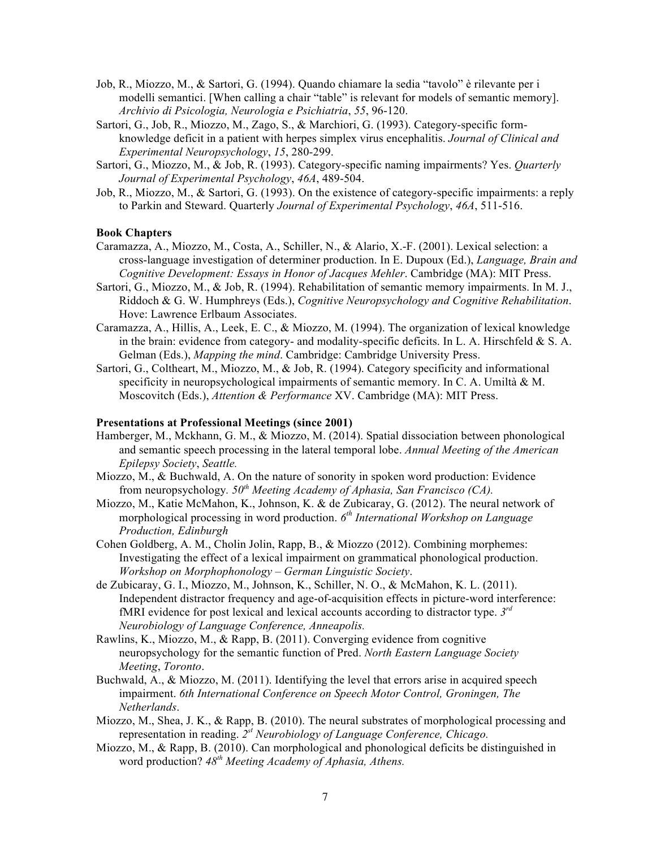- Job, R., Miozzo, M., & Sartori, G. (1994). Quando chiamare la sedia "tavolo" è rilevante per i modelli semantici. [When calling a chair "table" is relevant for models of semantic memory]. *Archivio di Psicologia, Neurologia e Psichiatria*, *55*, 96-120.
- Sartori, G., Job, R., Miozzo, M., Zago, S., & Marchiori, G. (1993). Category-specific formknowledge deficit in a patient with herpes simplex virus encephalitis. *Journal of Clinical and Experimental Neuropsychology*, *15*, 280-299.
- Sartori, G., Miozzo, M., & Job, R. (1993). Category-specific naming impairments? Yes. *Quarterly Journal of Experimental Psychology*, *46A*, 489-504.
- Job, R., Miozzo, M., & Sartori, G. (1993). On the existence of category-specific impairments: a reply to Parkin and Steward. Quarterly *Journal of Experimental Psychology*, *46A*, 511-516.

## **Book Chapters**

- Caramazza, A., Miozzo, M., Costa, A., Schiller, N., & Alario, X.-F. (2001). Lexical selection: a cross-language investigation of determiner production. In E. Dupoux (Ed.), *Language, Brain and Cognitive Development: Essays in Honor of Jacques Mehler*. Cambridge (MA): MIT Press.
- Sartori, G., Miozzo, M., & Job, R. (1994). Rehabilitation of semantic memory impairments. In M. J., Riddoch & G. W. Humphreys (Eds.), *Cognitive Neuropsychology and Cognitive Rehabilitation*. Hove: Lawrence Erlbaum Associates.
- Caramazza, A., Hillis, A., Leek, E. C., & Miozzo, M. (1994). The organization of lexical knowledge in the brain: evidence from category- and modality-specific deficits. In L. A. Hirschfeld & S. A. Gelman (Eds.), *Mapping the mind*. Cambridge: Cambridge University Press.
- Sartori, G., Coltheart, M., Miozzo, M., & Job, R. (1994). Category specificity and informational specificity in neuropsychological impairments of semantic memory. In C. A. Umiltà & M. Moscovitch (Eds.), *Attention & Performance* XV. Cambridge (MA): MIT Press.

#### **Presentations at Professional Meetings (since 2001)**

- Hamberger, M., Mckhann, G. M., & Miozzo, M. (2014). Spatial dissociation between phonological and semantic speech processing in the lateral temporal lobe. *Annual Meeting of the American Epilepsy Society*, *Seattle.*
- Miozzo, M., & Buchwald, A. On the nature of sonority in spoken word production: Evidence from neuropsychology*. 50th Meeting Academy of Aphasia, San Francisco (CA).*
- Miozzo, M., Katie McMahon, K., Johnson, K. & de Zubicaray, G. (2012). The neural network of morphological processing in word production. *6th International Workshop on Language Production, Edinburgh*
- Cohen Goldberg, A. M., Cholin Jolin, Rapp, B., & Miozzo (2012). Combining morphemes: Investigating the effect of a lexical impairment on grammatical phonological production. *Workshop on Morphophonology – German Linguistic Society*.
- de Zubicaray, G. I., Miozzo, M., Johnson, K., Schiller, N. O., & McMahon, K. L. (2011). Independent distractor frequency and age-of-acquisition effects in picture-word interference: fMRI evidence for post lexical and lexical accounts according to distractor type. *3rd Neurobiology of Language Conference, Anneapolis.*
- Rawlins, K., Miozzo, M., & Rapp, B. (2011). Converging evidence from cognitive neuropsychology for the semantic function of Pred. *North Eastern Language Society Meeting*, *Toronto*.
- Buchwald, A., & Miozzo, M. (2011). Identifying the level that errors arise in acquired speech impairment. *6th International Conference on Speech Motor Control, Groningen, The Netherlands*.
- Miozzo, M., Shea, J. K., & Rapp, B. (2010). The neural substrates of morphological processing and representation in reading. *2st Neurobiology of Language Conference, Chicago.*
- Miozzo, M., & Rapp, B. (2010). Can morphological and phonological deficits be distinguished in word production? *48th Meeting Academy of Aphasia, Athens.*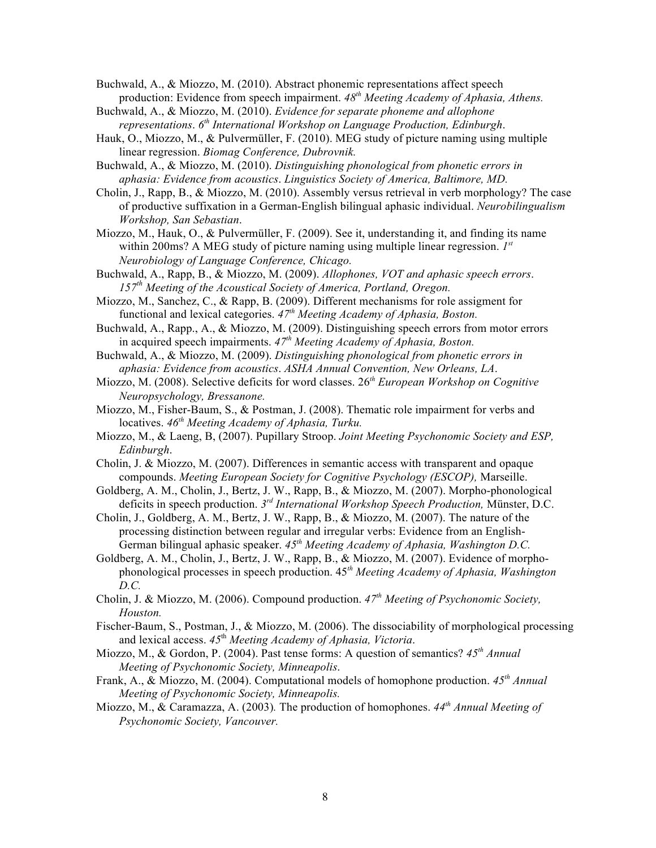Buchwald, A., & Miozzo, M. (2010). Abstract phonemic representations affect speech production: Evidence from speech impairment. *48th Meeting Academy of Aphasia, Athens.*

- Buchwald, A., & Miozzo, M. (2010). *Evidence for separate phoneme and allophone representations*. *6th International Workshop on Language Production, Edinburgh*.
- Hauk, O., Miozzo, M., & Pulvermüller, F. (2010). MEG study of picture naming using multiple linear regression. *Biomag Conference, Dubrovnik.*
- Buchwald, A., & Miozzo, M. (2010). *Distinguishing phonological from phonetic errors in aphasia: Evidence from acoustics*. *Linguistics Society of America, Baltimore, MD.*
- Cholin, J., Rapp, B., & Miozzo, M. (2010). Assembly versus retrieval in verb morphology? The case of productive suffixation in a German-English bilingual aphasic individual. *Neurobilingualism Workshop, San Sebastian*.
- Miozzo, M., Hauk, O., & Pulvermüller, F. (2009). See it, understanding it, and finding its name within 200ms? A MEG study of picture naming using multiple linear regression. *1st Neurobiology of Language Conference, Chicago.*
- Buchwald, A., Rapp, B., & Miozzo, M. (2009). *Allophones, VOT and aphasic speech errors*. *157th Meeting of the Acoustical Society of America, Portland, Oregon.*
- Miozzo, M., Sanchez, C., & Rapp, B. (2009). Different mechanisms for role assigment for functional and lexical categories. *47th Meeting Academy of Aphasia, Boston.*
- Buchwald, A., Rapp., A., & Miozzo, M. (2009). Distinguishing speech errors from motor errors in acquired speech impairments. *47th Meeting Academy of Aphasia, Boston.*
- Buchwald, A., & Miozzo, M. (2009). *Distinguishing phonological from phonetic errors in aphasia: Evidence from acoustics*. *ASHA Annual Convention, New Orleans, LA*.
- Miozzo, M. (2008). Selective deficits for word classes. 26*th European Workshop on Cognitive Neuropsychology, Bressanone.*
- Miozzo, M., Fisher-Baum, S., & Postman, J. (2008). Thematic role impairment for verbs and locatives. *46th Meeting Academy of Aphasia, Turku.*
- Miozzo, M., & Laeng, B, (2007). Pupillary Stroop. *Joint Meeting Psychonomic Society and ESP, Edinburgh*.
- Cholin, J. & Miozzo, M. (2007). Differences in semantic access with transparent and opaque compounds. *Meeting European Society for Cognitive Psychology (ESCOP),* Marseille.
- Goldberg, A. M., Cholin, J., Bertz, J. W., Rapp, B., & Miozzo, M. (2007). Morpho-phonological deficits in speech production. *3rd International Workshop Speech Production,* Münster, D.C.
- Cholin, J., Goldberg, A. M., Bertz, J. W., Rapp, B., & Miozzo, M. (2007). The nature of the processing distinction between regular and irregular verbs: Evidence from an English-German bilingual aphasic speaker. *45th Meeting Academy of Aphasia, Washington D.C.*
- Goldberg, A. M., Cholin, J., Bertz, J. W., Rapp, B., & Miozzo, M. (2007). Evidence of morphophonological processes in speech production. 45*th Meeting Academy of Aphasia, Washington D.C.*
- Cholin, J. & Miozzo, M. (2006). Compound production. *47th Meeting of Psychonomic Society, Houston.*
- Fischer-Baum, S., Postman, J., & Miozzo, M. (2006). The dissociability of morphological processing and lexical access. *45*th *Meeting Academy of Aphasia, Victoria*.
- Miozzo, M., & Gordon, P. (2004). Past tense forms: A question of semantics? *45th Annual Meeting of Psychonomic Society, Minneapolis*.
- Frank, A., & Miozzo, M. (2004). Computational models of homophone production. *45th Annual Meeting of Psychonomic Society, Minneapolis.*
- Miozzo, M., & Caramazza, A. (2003)*.* The production of homophones. *44th Annual Meeting of Psychonomic Society, Vancouver.*